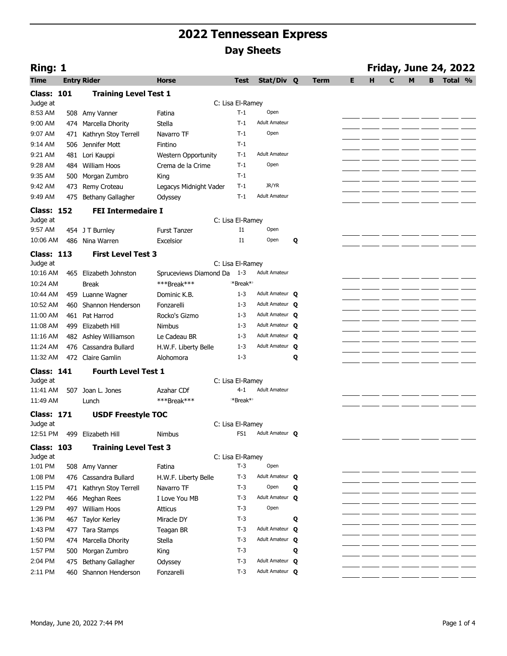| Ring: 1                       |     |                              |                            |                      |                        |   | <b>Friday, June 24, 2022</b> |   |   |   |   |   |         |  |
|-------------------------------|-----|------------------------------|----------------------------|----------------------|------------------------|---|------------------------------|---|---|---|---|---|---------|--|
| <b>Time</b>                   |     | <b>Entry Rider</b>           | <b>Horse</b>               | <b>Test</b>          | Stat/Div Q             |   | <b>Term</b>                  | E | н | C | M | B | Total % |  |
| <b>Class: 101</b>             |     | <b>Training Level Test 1</b> |                            |                      |                        |   |                              |   |   |   |   |   |         |  |
| Judge at                      |     |                              |                            | C: Lisa El-Ramey     |                        |   |                              |   |   |   |   |   |         |  |
| 8:53 AM                       |     | 508 Amy Vanner               | Fatina                     | $T-1$                | Open                   |   |                              |   |   |   |   |   |         |  |
| 9:00 AM                       |     | 474 Marcella Dhority         | Stella                     | $T-1$                | <b>Adult Amateur</b>   |   |                              |   |   |   |   |   |         |  |
| 9:07 AM                       | 471 | Kathryn Stoy Terrell         | Navarro TF                 | $T-1$                | Open                   |   |                              |   |   |   |   |   |         |  |
| 9:14 AM                       |     | 506 Jennifer Mott            | Fintino                    | $T-1$                |                        |   |                              |   |   |   |   |   |         |  |
| 9:21 AM                       | 481 | Lori Kauppi                  | <b>Western Opportunity</b> | $T-1$                | <b>Adult Amateur</b>   |   |                              |   |   |   |   |   |         |  |
| 9:28 AM                       |     | 484 William Hoos             | Crema de la Crime          | $T-1$                | Open                   |   |                              |   |   |   |   |   |         |  |
| 9:35 AM                       | 500 | Morgan Zumbro                | King                       | $T-1$                |                        |   |                              |   |   |   |   |   |         |  |
| 9:42 AM                       |     | 473 Remy Croteau             | Legacys Midnight Vader     | $T-1$                | JR/YR                  |   |                              |   |   |   |   |   |         |  |
| 9:49 AM                       |     | 475 Bethany Gallagher        | Odyssey                    | $T-1$                | <b>Adult Amateur</b>   |   |                              |   |   |   |   |   |         |  |
|                               |     |                              |                            |                      |                        |   |                              |   |   |   |   |   |         |  |
| <b>Class: 152</b><br>Judge at |     | <b>FEI Intermedaire I</b>    |                            | C: Lisa El-Ramey     |                        |   |                              |   |   |   |   |   |         |  |
| 9:57 AM                       |     | 454 J T Burnley              | <b>Furst Tanzer</b>        | $_{\rm I1}$          | Open                   |   |                              |   |   |   |   |   |         |  |
| 10:06 AM                      |     | 486 Nina Warren              | Excelsior                  | 11                   | Open                   | Q |                              |   |   |   |   |   |         |  |
|                               |     |                              |                            |                      |                        |   |                              |   |   |   |   |   |         |  |
| <b>Class: 113</b>             |     | <b>First Level Test 3</b>    |                            |                      |                        |   |                              |   |   |   |   |   |         |  |
| Judge at                      |     |                              |                            | C: Lisa El-Ramey     | <b>Adult Amateur</b>   |   |                              |   |   |   |   |   |         |  |
| 10:16 AM                      |     | 465 Elizabeth Johnston       | Spruceviews Diamond Da     | - 1-3                |                        |   |                              |   |   |   |   |   |         |  |
| 10:24 AM                      |     | <b>Break</b>                 | ***Break***                | *Break* <sup>*</sup> |                        |   |                              |   |   |   |   |   |         |  |
| 10:44 AM                      |     | 459 Luanne Wagner            | Dominic K.B.               | $1 - 3$              | Adult Amateur Q        |   |                              |   |   |   |   |   |         |  |
| 10:52 AM                      |     | 460 Shannon Henderson        | Fonzarelli                 | $1 - 3$              | Adult Amateur <b>Q</b> |   |                              |   |   |   |   |   |         |  |
| 11:00 AM                      |     | 461 Pat Harrod               | Rocko's Gizmo              | $1 - 3$              | Adult Amateur <b>Q</b> |   |                              |   |   |   |   |   |         |  |
| 11:08 AM                      |     | 499 Elizabeth Hill           | <b>Nimbus</b>              | $1 - 3$              | Adult Amateur O        |   |                              |   |   |   |   |   |         |  |
| 11:16 AM                      |     | 482 Ashley Williamson        | Le Cadeau BR               | $1 - 3$              | Adult Amateur O        |   |                              |   |   |   |   |   |         |  |
| 11:24 AM                      |     | 476 Cassandra Bullard        | H.W.F. Liberty Belle       | $1 - 3$              | Adult Amateur Q        |   |                              |   |   |   |   |   |         |  |
| 11:32 AM                      |     | 472 Claire Gamlin            | Alohomora                  | $1 - 3$              |                        | Q |                              |   |   |   |   |   |         |  |
| <b>Class: 141</b>             |     | <b>Fourth Level Test 1</b>   |                            |                      |                        |   |                              |   |   |   |   |   |         |  |
| Judge at                      |     |                              |                            | C: Lisa El-Ramey     |                        |   |                              |   |   |   |   |   |         |  |
| 11:41 AM                      |     | 507 Joan L. Jones            | Azahar CDf                 | $4 - 1$              | <b>Adult Amateur</b>   |   |                              |   |   |   |   |   |         |  |
| 11:49 AM                      |     | Lunch                        | ***Break***                | **Break**            |                        |   |                              |   |   |   |   |   |         |  |
| <b>Class: 171</b>             |     | <b>USDF Freestyle TOC</b>    |                            |                      |                        |   |                              |   |   |   |   |   |         |  |
| Judge at                      |     |                              |                            | C: Lisa El-Ramey     |                        |   |                              |   |   |   |   |   |         |  |
|                               |     | 12:51 PM 499 Elizabeth Hill  | Nimbus                     | FS1                  | Adult Amateur O        |   |                              |   |   |   |   |   |         |  |
| <b>Class: 103</b>             |     |                              |                            |                      |                        |   |                              |   |   |   |   |   |         |  |
| Judge at                      |     | <b>Training Level Test 3</b> |                            | C: Lisa El-Ramey     |                        |   |                              |   |   |   |   |   |         |  |
| 1:01 PM                       |     | 508 Amy Vanner               | Fatina                     | $T-3$                | Open                   |   |                              |   |   |   |   |   |         |  |
| 1:08 PM                       |     | 476 Cassandra Bullard        | H.W.F. Liberty Belle       | $T-3$                | Adult Amateur Q        |   |                              |   |   |   |   |   |         |  |
| 1:15 PM                       | 471 | Kathryn Stoy Terrell         | Navarro TF                 | $T-3$                | Open                   | Q |                              |   |   |   |   |   |         |  |
| 1:22 PM                       | 466 | Meghan Rees                  | I Love You MB              | $T-3$                | Adult Amateur Q        |   |                              |   |   |   |   |   |         |  |
| 1:29 PM                       |     | 497 William Hoos             | Atticus                    | $T-3$                | Open                   |   |                              |   |   |   |   |   |         |  |
| 1:36 PM                       |     |                              | Miracle DY                 | $T-3$                |                        |   |                              |   |   |   |   |   |         |  |
|                               |     | 467 Taylor Kerley            |                            |                      | Adult Amateur <b>Q</b> | Q |                              |   |   |   |   |   |         |  |
| 1:43 PM                       |     | 477 Tara Stamps              | Teagan BR                  | $T-3$                |                        |   |                              |   |   |   |   |   |         |  |
| 1:50 PM                       |     | 474 Marcella Dhority         | Stella                     | $T-3$                | Adult Amateur Q        |   |                              |   |   |   |   |   |         |  |
| 1:57 PM                       |     | 500 Morgan Zumbro            | King                       | T-3                  |                        | Q |                              |   |   |   |   |   |         |  |
| 2:04 PM                       |     | 475 Bethany Gallagher        | Odyssey                    | $T-3$                | Adult Amateur Q        |   |                              |   |   |   |   |   |         |  |
| 2:11 PM                       |     | 460 Shannon Henderson        | Fonzarelli                 | $T-3$                | Adult Amateur Q        |   |                              |   |   |   |   |   |         |  |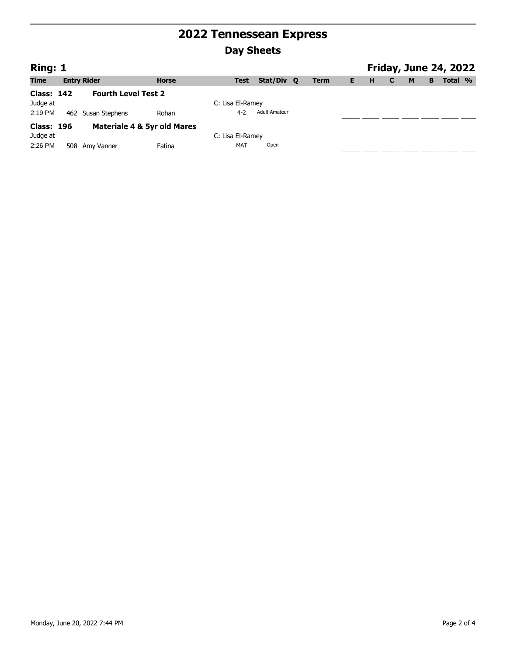| Ring: 1    |                             |              |                  |                      |             |    |   |   |   |   | <b>Friday, June 24, 2022</b> |  |
|------------|-----------------------------|--------------|------------------|----------------------|-------------|----|---|---|---|---|------------------------------|--|
| Time       | <b>Entry Rider</b>          | <b>Horse</b> | <b>Test</b>      | Stat/Div Q           | <b>Term</b> | E. | H | C | M | B | Total %                      |  |
| Class: 142 | <b>Fourth Level Test 2</b>  |              |                  |                      |             |    |   |   |   |   |                              |  |
| Judge at   |                             |              | C: Lisa El-Ramey |                      |             |    |   |   |   |   |                              |  |
| 2:19 PM    | 462 Susan Stephens          | Rohan        | $4 - 2$          | <b>Adult Amateur</b> |             |    |   |   |   |   |                              |  |
| Class: 196 | Materiale 4 & 5yr old Mares |              |                  |                      |             |    |   |   |   |   |                              |  |
| Judge at   |                             |              | C: Lisa El-Ramey |                      |             |    |   |   |   |   |                              |  |
| 2:26 PM    | 508 Amy Vanner              | Fatina       | <b>MAT</b>       | Open                 |             |    |   |   |   |   |                              |  |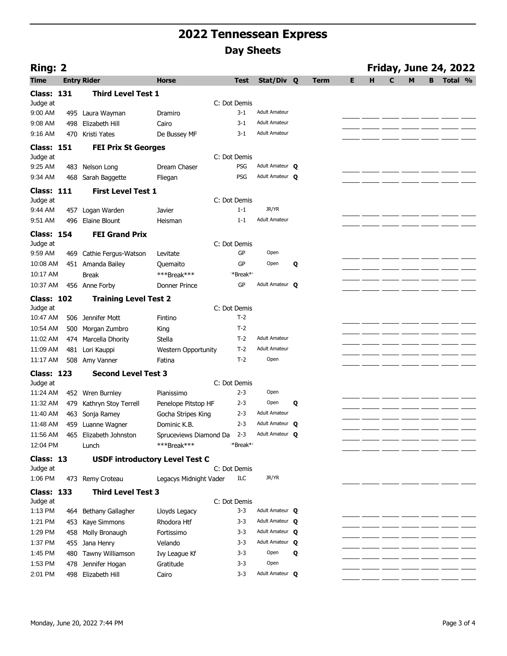| Ring: 2           |     |                                       |                            |                      |                        |   |             |   |   |   |   |   | <b>Friday, June 24, 2022</b> |  |
|-------------------|-----|---------------------------------------|----------------------------|----------------------|------------------------|---|-------------|---|---|---|---|---|------------------------------|--|
| <b>Time</b>       |     | <b>Entry Rider</b>                    | <b>Horse</b>               | <b>Test</b>          | Stat/Div Q             |   | <b>Term</b> | E | H | C | M | B | Total %                      |  |
| <b>Class: 131</b> |     | <b>Third Level Test 1</b>             |                            |                      |                        |   |             |   |   |   |   |   |                              |  |
| Judge at          |     |                                       |                            | C: Dot Demis         |                        |   |             |   |   |   |   |   |                              |  |
| 9:00 AM           |     | 495 Laura Wayman                      | Dramiro                    | $3 - 1$              | <b>Adult Amateur</b>   |   |             |   |   |   |   |   |                              |  |
| 9:08 AM           | 498 | Elizabeth Hill                        | Cairo                      | $3 - 1$              | <b>Adult Amateur</b>   |   |             |   |   |   |   |   |                              |  |
| 9:16 AM           | 470 | Kristi Yates                          | De Bussey MF               | $3-1$                | <b>Adult Amateur</b>   |   |             |   |   |   |   |   |                              |  |
| <b>Class: 151</b> |     | <b>FEI Prix St Georges</b>            |                            |                      |                        |   |             |   |   |   |   |   |                              |  |
| Judge at          |     |                                       |                            | C: Dot Demis         |                        |   |             |   |   |   |   |   |                              |  |
| $9:25$ AM         |     | 483 Nelson Long                       | Dream Chaser               | PSG                  | Adult Amateur <b>Q</b> |   |             |   |   |   |   |   |                              |  |
| 9:34 AM           | 468 | Sarah Baggette                        | Fliegan                    | PSG                  | Adult Amateur O        |   |             |   |   |   |   |   |                              |  |
| <b>Class: 111</b> |     | <b>First Level Test 1</b>             |                            |                      |                        |   |             |   |   |   |   |   |                              |  |
| Judge at          |     |                                       |                            | C: Dot Demis         |                        |   |             |   |   |   |   |   |                              |  |
| 9:44 AM           | 457 | Logan Warden                          | Javier                     | $1 - 1$              | JR/YR                  |   |             |   |   |   |   |   |                              |  |
| 9:51 AM           | 496 | Elaine Blount                         | Heisman                    | $1 - 1$              | <b>Adult Amateur</b>   |   |             |   |   |   |   |   |                              |  |
| <b>Class: 154</b> |     | <b>FEI Grand Prix</b>                 |                            |                      |                        |   |             |   |   |   |   |   |                              |  |
| Judge at          |     |                                       |                            | C: Dot Demis         |                        |   |             |   |   |   |   |   |                              |  |
| 9:59 AM           | 469 | Cathie Fergus-Watson                  | Levitate                   | GP                   | Open                   |   |             |   |   |   |   |   |                              |  |
| 10:08 AM          |     | 451 Amanda Bailey                     | Ouemaito                   | GP                   | Open                   | Q |             |   |   |   |   |   |                              |  |
| 10:17 AM          |     | <b>Break</b>                          | ***Break***                | *Break**             |                        |   |             |   |   |   |   |   |                              |  |
| 10:37 AM          |     | 456 Anne Forby                        | Donner Prince              | GP                   | Adult Amateur <b>Q</b> |   |             |   |   |   |   |   |                              |  |
| <b>Class: 102</b> |     | <b>Training Level Test 2</b>          |                            |                      |                        |   |             |   |   |   |   |   |                              |  |
| Judge at          |     |                                       |                            | C: Dot Demis         |                        |   |             |   |   |   |   |   |                              |  |
| 10:47 AM          |     | 506 Jennifer Mott                     | Fintino                    | $T-2$                |                        |   |             |   |   |   |   |   |                              |  |
| 10:54 AM          | 500 | Morgan Zumbro                         | King                       | $T-2$                |                        |   |             |   |   |   |   |   |                              |  |
| 11:02 AM          |     | 474 Marcella Dhority                  | Stella                     | $T-2$                | <b>Adult Amateur</b>   |   |             |   |   |   |   |   |                              |  |
| 11:09 AM          | 481 | Lori Kauppi                           | <b>Western Opportunity</b> | $T-2$                | <b>Adult Amateur</b>   |   |             |   |   |   |   |   |                              |  |
| 11:17 AM          | 508 | Amy Vanner                            | Fatina                     | $T-2$                | Open                   |   |             |   |   |   |   |   |                              |  |
| <b>Class: 123</b> |     | <b>Second Level Test 3</b>            |                            |                      |                        |   |             |   |   |   |   |   |                              |  |
| Judge at          |     |                                       |                            | C: Dot Demis         |                        |   |             |   |   |   |   |   |                              |  |
| 11:24 AM          |     | 452 Wren Burnley                      | Pianissimo                 | $2 - 3$              | Open                   |   |             |   |   |   |   |   |                              |  |
| 11:32 AM          | 479 | Kathryn Stoy Terrell                  | Penelope Pitstop HF        | $2 - 3$              | Open                   | Q |             |   |   |   |   |   |                              |  |
| 11:40 AM          | 463 | Sonja Ramey                           | Gocha Stripes King         | $2 - 3$              | <b>Adult Amateur</b>   |   |             |   |   |   |   |   |                              |  |
| 11:48 AM          |     | 459 Luanne Wagner                     | Dominic K.B.               | $2 - 3$              | Adult Amateur Q        |   |             |   |   |   |   |   |                              |  |
| 11:56 AM          |     | 465 Elizabeth Johnston                | Spruceviews Diamond Da     | $2 - 3$              | Adult Amateur O        |   |             |   |   |   |   |   |                              |  |
| 12:04 PM          |     | Lunch                                 | ***Break***                | *Break* <sup>*</sup> |                        |   |             |   |   |   |   |   |                              |  |
| Class: 13         |     | <b>USDF introductory Level Test C</b> |                            |                      |                        |   |             |   |   |   |   |   |                              |  |
| Judge at          |     |                                       |                            | C: Dot Demis         |                        |   |             |   |   |   |   |   |                              |  |
| 1:06 PM           |     | 473 Remy Croteau                      | Legacys Midnight Vader     | ILC                  | JR/YR                  |   |             |   |   |   |   |   |                              |  |
| <b>Class: 133</b> |     | <b>Third Level Test 3</b>             |                            |                      |                        |   |             |   |   |   |   |   |                              |  |
| Judge at          |     |                                       |                            | C: Dot Demis         |                        |   |             |   |   |   |   |   |                              |  |
| 1:13 PM           |     | 464 Bethany Gallagher                 | Lloyds Legacy              | $3 - 3$              | Adult Amateur <b>Q</b> |   |             |   |   |   |   |   |                              |  |
| 1:21 PM           |     | 453 Kaye Simmons                      | Rhodora Htf                | $3 - 3$              | Adult Amateur <b>Q</b> |   |             |   |   |   |   |   |                              |  |
| 1:29 PM           |     | 458 Molly Bronaugh                    | Fortissimo                 | $3 - 3$              | Adult Amateur <b>Q</b> |   |             |   |   |   |   |   |                              |  |
| 1:37 PM           |     | 455 Jana Henry                        | Velando                    | $3 - 3$              | Adult Amateur O        |   |             |   |   |   |   |   |                              |  |
| 1:45 PM           |     | 480 Tawny Williamson                  | Ivy League Kf              | $3 - 3$              | Open                   | Q |             |   |   |   |   |   |                              |  |
| 1:53 PM           |     | 478 Jennifer Hogan                    | Gratitude                  | $3 - 3$              | Open                   |   |             |   |   |   |   |   |                              |  |
| 2:01 PM           |     | 498 Elizabeth Hill                    | Cairo                      | $3 - 3$              | Adult Amateur Q        |   |             |   |   |   |   |   |                              |  |